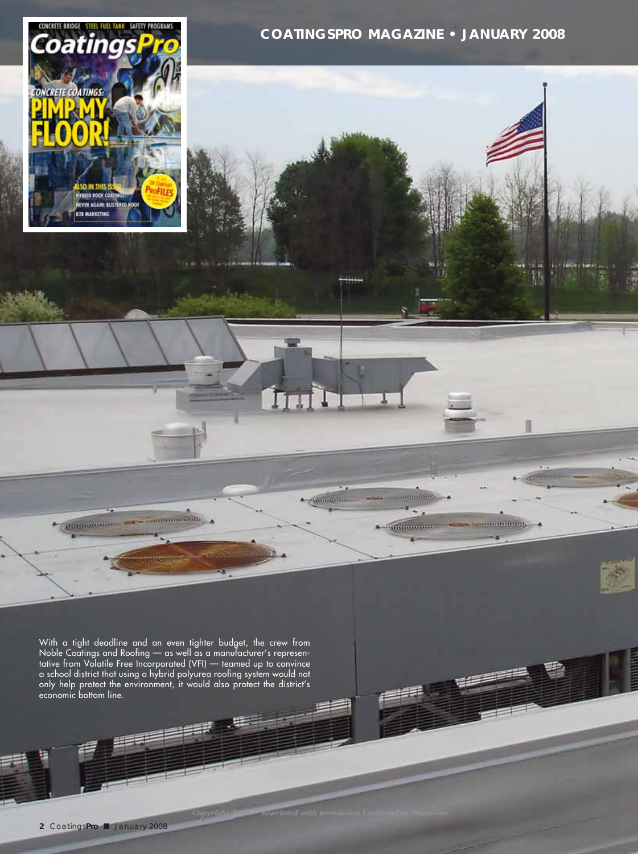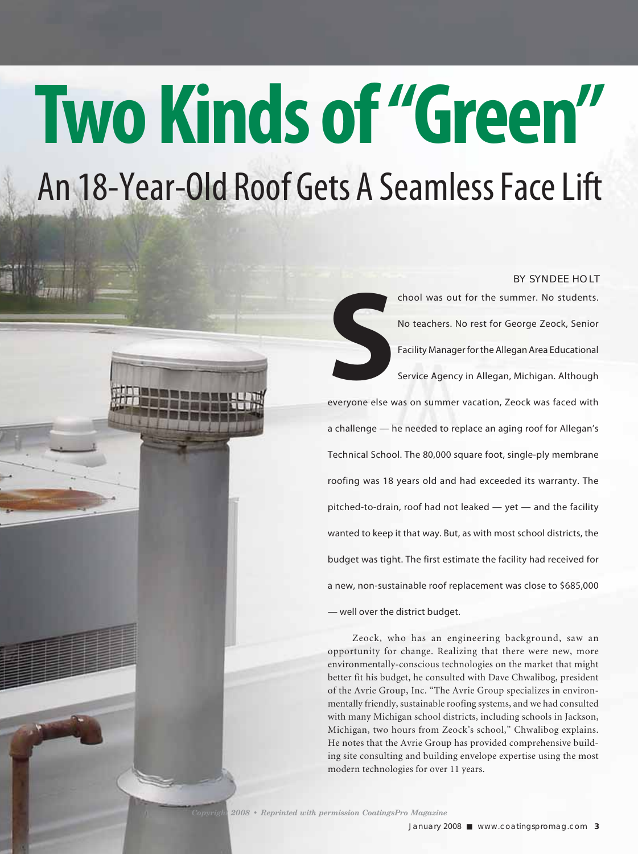# **Two Kinds of "Green"** An 18-Year-Old Roof Gets A Seamless Face Lift

#### BY SYNDEE HOLT

chool was out for the summer. No students.

**S**<br>everyone else w No teachers. No rest for George Zeock, Senior Facility Manager for the Allegan Area Educational Service Agency in Allegan, Michigan. Although everyone else was on summer vacation, Zeock was faced with a challenge — he needed to replace an aging roof for Allegan's Technical School. The 80,000 square foot, single-ply membrane roofing was 18 years old and had exceeded its warranty. The pitched-to-drain, roof had not leaked — yet — and the facility wanted to keep it that way. But, as with most school districts, the budget was tight. The first estimate the facility had received for a new, non-sustainable roof replacement was close to \$685,000 — well over the district budget.

 Zeock, who has an engineering background, saw an opportunity for change. Realizing that there were new, more environmentally-conscious technologies on the market that might better fit his budget, he consulted with Dave Chwalibog, president of the Avrie Group, Inc. "The Avrie Group specializes in environmentally friendly, sustainable roofing systems, and we had consulted with many Michigan school districts, including schools in Jackson, Michigan, two hours from Zeock's school," Chwalibog explains. He notes that the Avrie Group has provided comprehensive building site consulting and building envelope expertise using the most modern technologies for over 11 years.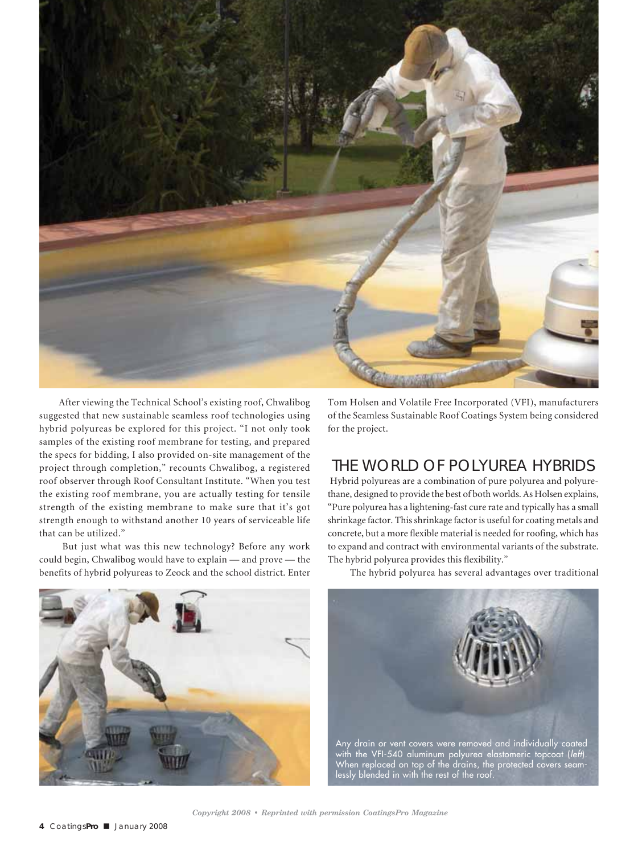

After viewing the Technical School's existing roof, Chwalibog suggested that new sustainable seamless roof technologies using hybrid polyureas be explored for this project. "I not only took samples of the existing roof membrane for testing, and prepared the specs for bidding, I also provided on-site management of the project through completion," recounts Chwalibog, a registered roof observer through Roof Consultant Institute. "When you test the existing roof membrane, you are actually testing for tensile strength of the existing membrane to make sure that it's got strength enough to withstand another 10 years of serviceable life that can be utilized."

 But just what was this new technology? Before any work could begin, Chwalibog would have to explain — and prove — the benefits of hybrid polyureas to Zeock and the school district. Enter Tom Holsen and Volatile Free Incorporated (VFI), manufacturers of the Seamless Sustainable Roof Coatings System being considered for the project.

## THE WORLD OF POLYUREA HYBRIDS

 Hybrid polyureas are a combination of pure polyurea and polyurethane, designed to provide the best of both worlds. As Holsen explains, "Pure polyurea has a lightening-fast cure rate and typically has a small shrinkage factor. This shrinkage factor is useful for coating metals and concrete, but a more flexible material is needed for roofing, which has to expand and contract with environmental variants of the substrate. The hybrid polyurea provides this flexibility."



The hybrid polyurea has several advantages over traditional



When replaced on top of the drains, the protected covers seamlessly blended in with the rest of the roof.

*Copyright 2008 • Reprinted with permission CoatingsPro Magazine*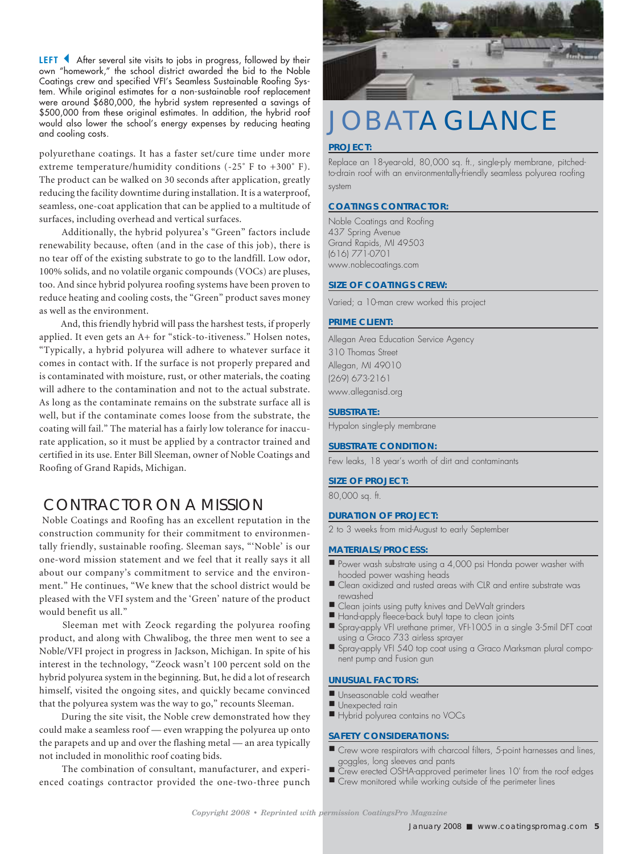LEFT 4 After several site visits to jobs in progress, followed by their own "homework," the school district awarded the bid to the Noble Coatings crew and specified VFI's Seamless Sustainable Roofing System. While original estimates for a non-sustainable roof replacement were around \$680,000, the hybrid system represented a savings of \$500,000 from these original estimates. In addition, the hybrid roof would also lower the school's energy expenses by reducing heating \$500,000 from these original estimates. In addition, the hybrid roof<br>would also lower the school's energy expenses by reducing heating  $\bigcup$  OBAT A GLANCE<br>and cooling costs.

polyurethane coatings. It has a faster set/cure time under more extreme temperature/humidity conditions (-25˚ F to +300˚ F). The product can be walked on 30 seconds after application, greatly reducing the facility downtime during installation. It is a waterproof, seamless, one-coat application that can be applied to a multitude of surfaces, including overhead and vertical surfaces.

 Additionally, the hybrid polyurea's "Green" factors include renewability because, often (and in the case of this job), there is no tear off of the existing substrate to go to the landfill. Low odor, 100% solids, and no volatile organic compounds (VOCs) are pluses, too. And since hybrid polyurea roofing systems have been proven to reduce heating and cooling costs, the "Green" product saves money as well as the environment.

 And, this friendly hybrid will pass the harshest tests, if properly applied. It even gets an A+ for "stick-to-itiveness." Holsen notes, "Typically, a hybrid polyurea will adhere to whatever surface it comes in contact with. If the surface is not properly prepared and is contaminated with moisture, rust, or other materials, the coating will adhere to the contamination and not to the actual substrate. As long as the contaminate remains on the substrate surface all is well, but if the contaminate comes loose from the substrate, the coating will fail." The material has a fairly low tolerance for inaccurate application, so it must be applied by a contractor trained and certified in its use. Enter Bill Sleeman, owner of Noble Coatings and Roofing of Grand Rapids, Michigan.

## CONTRACTOR ON A MISSION

 Noble Coatings and Roofing has an excellent reputation in the construction community for their commitment to environmentally friendly, sustainable roofing. Sleeman says, "'Noble' is our one-word mission statement and we feel that it really says it all about our company's commitment to service and the environment." He continues, "We knew that the school district would be pleased with the VFI system and the 'Green' nature of the product would benefit us all."

 Sleeman met with Zeock regarding the polyurea roofing product, and along with Chwalibog, the three men went to see a Noble/VFI project in progress in Jackson, Michigan. In spite of his interest in the technology, "Zeock wasn't 100 percent sold on the hybrid polyurea system in the beginning. But, he did a lot of research himself, visited the ongoing sites, and quickly became convinced that the polyurea system was the way to go," recounts Sleeman.

 During the site visit, the Noble crew demonstrated how they could make a seamless roof — even wrapping the polyurea up onto the parapets and up and over the flashing metal — an area typically not included in monolithic roof coating bids.

 The combination of consultant, manufacturer, and experienced coatings contractor provided the one-two-three punch



#### **PROJECT:**

Replace an 18-year-old, 80,000 sq. ft., single-ply membrane, pitchedto-drain roof with an environmentally-friendly seamless polyurea roofing system

#### **COATINGS CONTRACTOR:**

Noble Coatings and Roofing 437 Spring Avenue Grand Rapids, MI 49503 (616) 771-0701 www.noblecoatings.com

#### **SIZE OF COATINGS CREW:**

Varied; a 10-man crew worked this project

#### **PRIME CLIENT:**

Allegan Area Education Service Agency 310 Thomas Street Allegan, MI 49010 (269) 673-2161 www.alleganisd.org

#### **SUBSTRATE:**

Hypalon single-ply membrane

#### **SUBSTRATE CONDITION:**

Few leaks, 18 year's worth of dirt and contaminants

#### **SIZE OF PROJECT:**

80,000 sq. ft.

#### **DURATION OF PROJECT:**

2 to 3 weeks from mid-August to early September

#### **MATERIALS/PROCESS:**

- Power wash substrate using a 4,000 psi Honda power washer with ° hooded power washing heads
- Clean oxidized and rusted areas with CLR and entire substrate was rewashed
- Clean joints using putty knives and DeWalt grinders °
- Hand-apply fleece-back butyl tape to clean joints
- Spray-apply VFI urethane primer, VFI-1005 in a single 3-5mil DFT coat ° using a Graco 733 airless sprayer
- Spray-apply VFI 540 top coat using a Graco Marksman plural compo-° nent pump and Fusion gun

#### **UNUSUAL FACTORS:**

- Unseasonable cold weather
- Unexpected rain
- Hybrid polyurea contains no VOCs

#### **SAFETY CONSIDERATIONS:**

- Crew wore respirators with charcoal filters, 5-point harnesses and lines, goggles, long sleeves and pants
- Crew erected OSHA-approved perimeter lines 10' from the roof edges °
- Crew monitored while working outside of the perimeter lines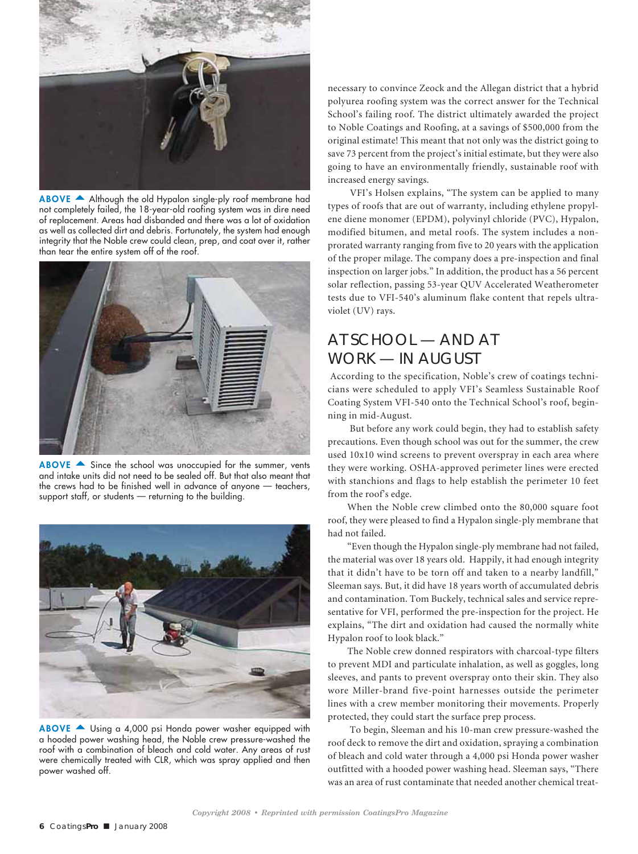

ABOVE  $\triangle$  Although the old Hypalon single-ply roof membrane had not completely failed, the 18-year-old roofing system was in dire need of replacement. Areas had disbanded and there was a lot of oxidation as well as collected dirt and debris. Fortunately, the system had enough integrity that the Noble crew could clean, prep, and coat over it, rather than tear the entire system off of the roof.



 $ABOVE$   $\triangle$  Since the school was unoccupied for the summer, vents and intake units did not need to be sealed off. But that also meant that the crews had to be finished well in advance of anyone — teachers, support staff, or students — returning to the building.



ABOVE  $\triangle$  Using a 4,000 psi Honda power washer equipped with a hooded power washing head, the Noble crew pressure-washed the roof with a combination of bleach and cold water. Any areas of rust were chemically treated with CLR, which was spray applied and then power washed off.

necessary to convince Zeock and the Allegan district that a hybrid polyurea roofing system was the correct answer for the Technical School's failing roof. The district ultimately awarded the project to Noble Coatings and Roofing, at a savings of \$500,000 from the original estimate! This meant that not only was the district going to save 73 percent from the project's initial estimate, but they were also going to have an environmentally friendly, sustainable roof with increased energy savings.

 VFI's Holsen explains, "The system can be applied to many types of roofs that are out of warranty, including ethylene propylene diene monomer (EPDM), polyvinyl chloride (PVC), Hypalon, modified bitumen, and metal roofs. The system includes a nonprorated warranty ranging from five to 20 years with the application of the proper milage. The company does a pre-inspection and final inspection on larger jobs." In addition, the product has a 56 percent solar reflection, passing 53-year QUV Accelerated Weatherometer tests due to VFI-540's aluminum flake content that repels ultraviolet (UV) rays.

## AT SCHOOL — AND AT WORK — IN AUGUST

 According to the specification, Noble's crew of coatings technicians were scheduled to apply VFI's Seamless Sustainable Roof Coating System VFI-540 onto the Technical School's roof, beginning in mid-August.

 But before any work could begin, they had to establish safety precautions. Even though school was out for the summer, the crew used 10x10 wind screens to prevent overspray in each area where they were working. OSHA-approved perimeter lines were erected with stanchions and flags to help establish the perimeter 10 feet from the roof's edge.

When the Noble crew climbed onto the 80,000 square foot roof, they were pleased to find a Hypalon single-ply membrane that had not failed.

"Even though the Hypalon single-ply membrane had not failed, the material was over 18 years old. Happily, it had enough integrity that it didn't have to be torn off and taken to a nearby landfill," Sleeman says. But, it did have 18 years worth of accumulated debris and contamination. Tom Buckely, technical sales and service representative for VFI, performed the pre-inspection for the project. He explains, "The dirt and oxidation had caused the normally white Hypalon roof to look black."

The Noble crew donned respirators with charcoal-type filters to prevent MDI and particulate inhalation, as well as goggles, long sleeves, and pants to prevent overspray onto their skin. They also wore Miller-brand five-point harnesses outside the perimeter lines with a crew member monitoring their movements. Properly protected, they could start the surface prep process.

 To begin, Sleeman and his 10-man crew pressure-washed the roof deck to remove the dirt and oxidation, spraying a combination of bleach and cold water through a 4,000 psi Honda power washer outfitted with a hooded power washing head. Sleeman says, "There was an area of rust contaminate that needed another chemical treat-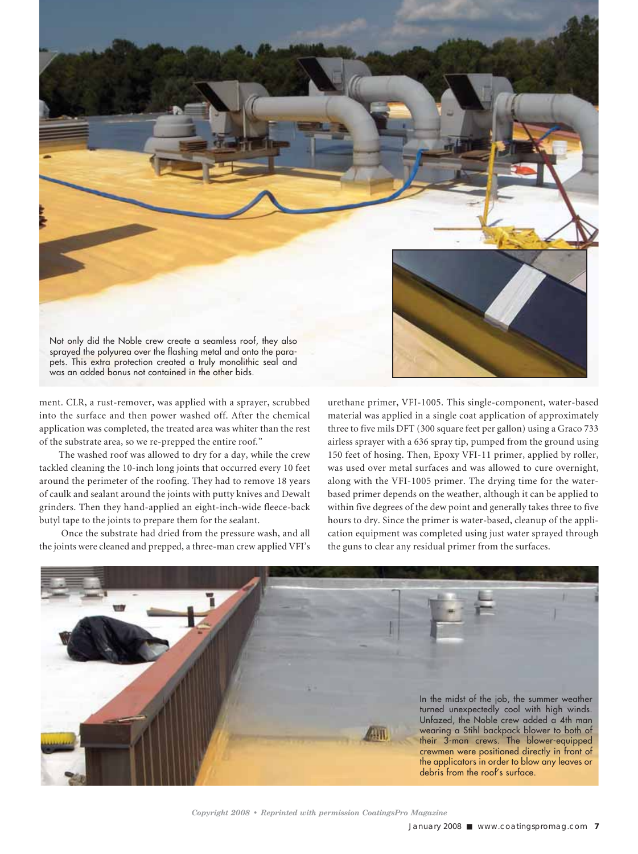

ment. CLR, a rust-remover, was applied with a sprayer, scrubbed into the surface and then power washed off. After the chemical application was completed, the treated area was whiter than the rest of the substrate area, so we re-prepped the entire roof."

The washed roof was allowed to dry for a day, while the crew tackled cleaning the 10-inch long joints that occurred every 10 feet around the perimeter of the roofing. They had to remove 18 years of caulk and sealant around the joints with putty knives and Dewalt grinders. Then they hand-applied an eight-inch-wide fleece-back butyl tape to the joints to prepare them for the sealant.

 Once the substrate had dried from the pressure wash, and all the joints were cleaned and prepped, a three-man crew applied VFI's urethane primer, VFI-1005. This single-component, water-based material was applied in a single coat application of approximately three to five mils DFT (300 square feet per gallon) using a Graco 733 airless sprayer with a 636 spray tip, pumped from the ground using 150 feet of hosing. Then, Epoxy VFI-11 primer, applied by roller, was used over metal surfaces and was allowed to cure overnight, along with the VFI-1005 primer. The drying time for the waterbased primer depends on the weather, although it can be applied to within five degrees of the dew point and generally takes three to five hours to dry. Since the primer is water-based, cleanup of the application equipment was completed using just water sprayed through the guns to clear any residual primer from the surfaces.



*Copyright 2008 • Reprinted with permission CoatingsPro Magazine*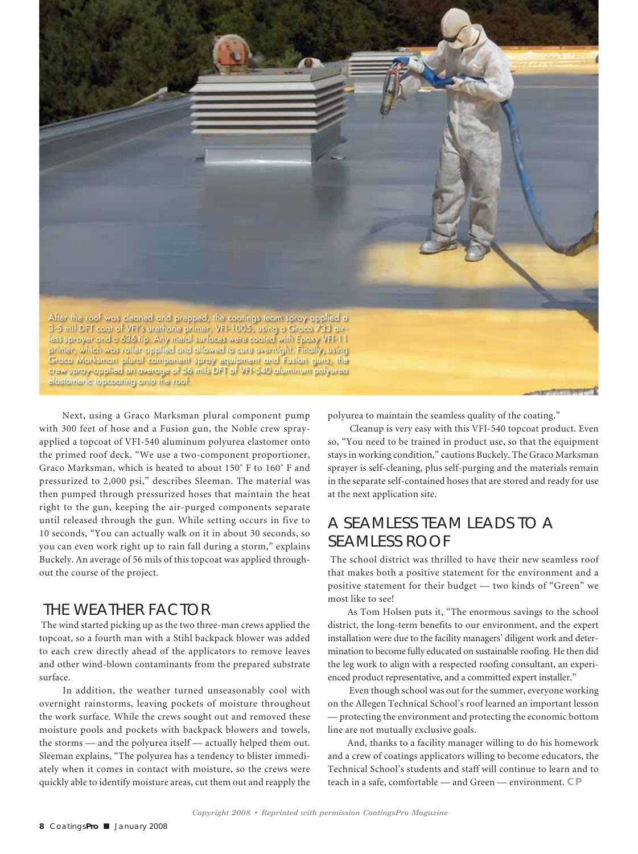

 Next, using a Graco Marksman plural component pump with 300 feet of hose and a Fusion gun, the Noble crew sprayapplied a topcoat of VFI-540 aluminum polyurea elastomer onto the primed roof deck. "We use a two-component proportioner, Graco Marksman, which is heated to about 150˚ F to 160˚ F and pressurized to 2,000 psi," describes Sleeman. The material was then pumped through pressurized hoses that maintain the heat right to the gun, keeping the air-purged components separate until released through the gun. While setting occurs in five to 10 seconds, "You can actually walk on it in about 30 seconds, so you can even work right up to rain fall during a storm," explains Buckely. An average of 56 mils of this topcoat was applied throughout the course of the project.

## THE WEATHER FACTOR

 The wind started picking up as the two three-man crews applied the topcoat, so a fourth man with a Stihl backpack blower was added to each crew directly ahead of the applicators to remove leaves and other wind-blown contaminants from the prepared substrate surface.

 In addition, the weather turned unseasonably cool with overnight rainstorms, leaving pockets of moisture throughout the work surface. While the crews sought out and removed these moisture pools and pockets with backpack blowers and towels, the storms — and the polyurea itself — actually helped them out. Sleeman explains, "The polyurea has a tendency to blister immediately when it comes in contact with moisture, so the crews were quickly able to identify moisture areas, cut them out and reapply the polyurea to maintain the seamless quality of the coating."

 Cleanup is very easy with this VFI-540 topcoat product. Even so, "You need to be trained in product use, so that the equipment stays in working condition," cautions Buckely. The Graco Marksman sprayer is self-cleaning, plus self-purging and the materials remain in the separate self-contained hoses that are stored and ready for use at the next application site.

## A SEAMLESS TEAM LEADS TO A SEAMLESS ROOF

 The school district was thrilled to have their new seamless roof that makes both a positive statement for the environment and a positive statement for their budget — two kinds of "Green" we most like to see!

As Tom Holsen puts it, "The enormous savings to the school district, the long-term benefits to our environment, and the expert installation were due to the facility managers' diligent work and determination to become fully educated on sustainable roofing. He then did the leg work to align with a respected roofing consultant, an experienced product representative, and a committed expert installer."

 Even though school was out for the summer, everyone working on the Allegen Technical School's roof learned an important lesson — protecting the environment and protecting the economic bottom line are not mutually exclusive goals.

And, thanks to a facility manager willing to do his homework and a crew of coatings applicators willing to become educators, the Technical School's students and staff will continue to learn and to teach in a safe, comfortable — and Green — environment. **CP**